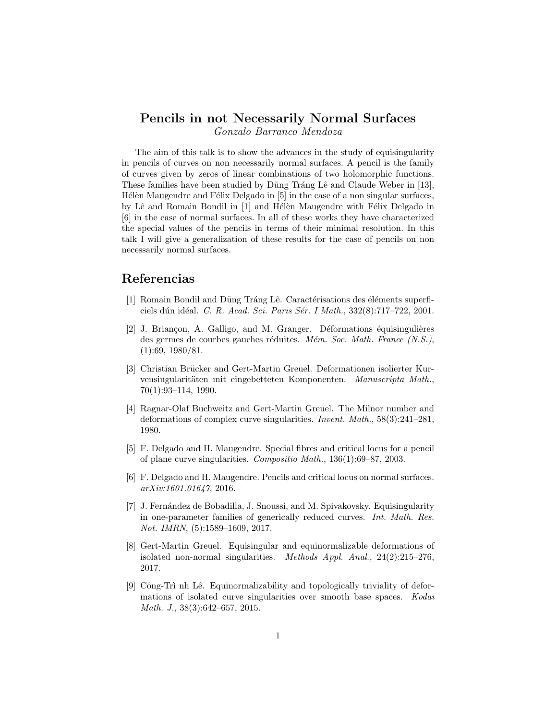## Pencils in not Necessarily Normal Surfaces Gonzalo Barranco Mendoza

The aim of this talk is to show the advances in the study of equisingularity in pencils of curves on non necessarily normal surfaces. A pencil is the family of curves given by zeros of linear combinations of two holomorphic functions. These families have been studied by Dũng Tráng Lê and Claude Weber in [13], Hélèn Maugendre and Félix Delgado in  $[5]$  in the case of a non singular surfaces, by Lê and Romain Bondil in [1] and Hélèn Maugendre with Félix Delgado in [6] in the case of normal surfaces. In all of these works they have characterized the special values of the pencils in terms of their minimal resolution. In this talk I will give a generalization of these results for the case of pencils on non necessarily normal surfaces.

## Referencias

- [1] Romain Bondil and Dũng Tráng Lê. Caractérisations des éléments superficiels dún idéal. C. R. Acad. Sci. Paris Sér. I Math., 332(8):717-722, 2001.
- [2] J. Briancon, A. Galligo, and M. Granger. Déformations équisingulières des germes de courbes gauches réduites. Mém. Soc. Math. France  $(N.S.),$ (1):69, 1980/81.
- [3] Christian Brücker and Gert-Martin Greuel. Deformationen isolierter Kurvensingularitäten mit eingebetteten Komponenten. Manuscripta Math., 70(1):93–114, 1990.
- [4] Ragnar-Olaf Buchweitz and Gert-Martin Greuel. The Milnor number and deformations of complex curve singularities. Invent. Math., 58(3):241–281, 1980.
- [5] F. Delgado and H. Maugendre. Special fibres and critical locus for a pencil of plane curve singularities. Compositio Math., 136(1):69–87, 2003.
- [6] F. Delgado and H. Maugendre. Pencils and critical locus on normal surfaces. arXiv:1601.01647, 2016.
- [7] J. Fern´andez de Bobadilla, J. Snoussi, and M. Spivakovsky. Equisingularity in one-parameter families of generically reduced curves. Int. Math. Res. Not. IMRN, (5):1589–1609, 2017.
- [8] Gert-Martin Greuel. Equisingular and equinormalizable deformations of isolated non-normal singularities. *Methods Appl. Anal.*,  $24(2):215-276$ , 2017.
- [9] Công-Trì nh Lê. Equinormalizability and topologically triviality of deformations of isolated curve singularities over smooth base spaces. Kodai Math. J., 38(3):642–657, 2015.